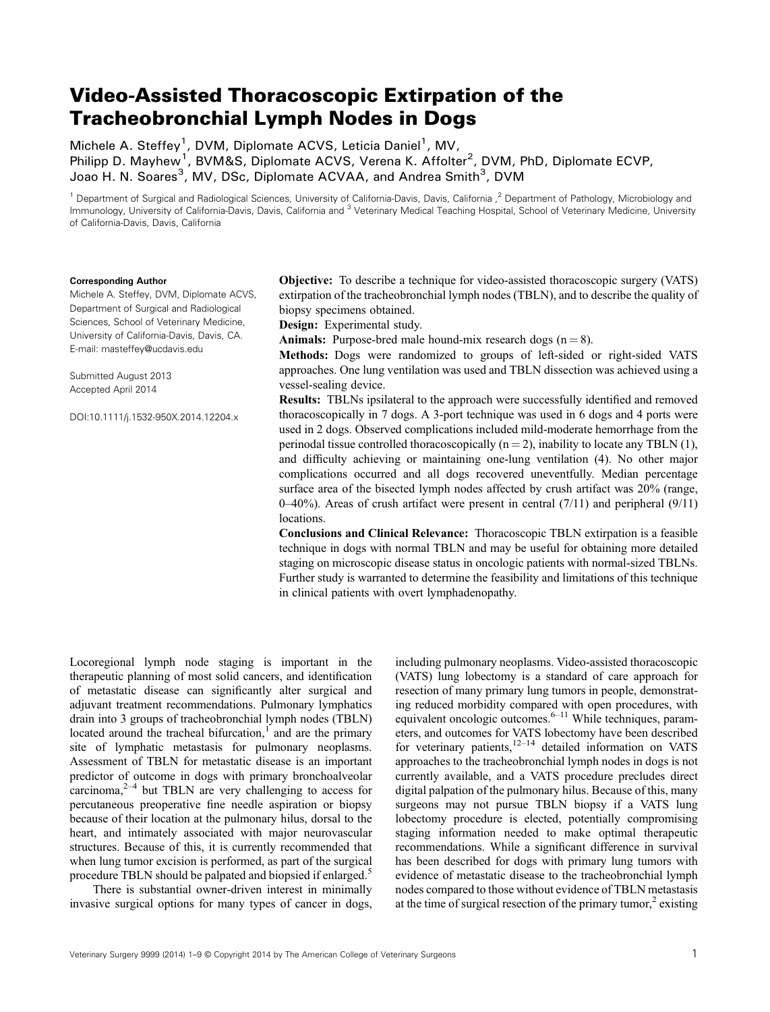# Video‐Assisted Thoracoscopic Extirpation of the Tracheobronchial Lymph Nodes in Dogs

Michele A. Steffey<sup>1</sup>, DVM, Diplomate ACVS, Leticia Daniel<sup>1</sup>, MV, Philipp D. Mayhew<sup>1</sup>, BVM&S, Diplomate ACVS, Verena K. Affolter<sup>2</sup>, DVM, PhD, Diplomate ECVP, Joao H. N. Soares<sup>3</sup>, MV, DSc, Diplomate ACVAA, and Andrea Smith<sup>3</sup>, DVM

<sup>1</sup> Department of Surgical and Radiological Sciences, University of California-Davis, Davis, California,<sup>2</sup> Department of Pathology, Microbiology and Immunology, University of California-Davis, Davis, California and <sup>3</sup> Veterinary Medical Teaching Hospital, School of Veterinary Medicine, University of California‐Davis, Davis, California

#### Corresponding Author

Michele A. Steffey, DVM, Diplomate ACVS, Department of Surgical and Radiological Sciences, School of Veterinary Medicine, University of California‐Davis, Davis, CA. E‐mail: masteffey@ucdavis.edu

Submitted August 2013 Accepted April 2014

DOI:10.1111/j.1532-950X.2014.12204.x

Objective: To describe a technique for video‐assisted thoracoscopic surgery (VATS) extirpation of the tracheobronchial lymph nodes (TBLN), and to describe the quality of biopsy specimens obtained.

Design: Experimental study.

**Animals:** Purpose-bred male hound-mix research dogs  $(n = 8)$ .

Methods: Dogs were randomized to groups of left-sided or right-sided VATS approaches. One lung ventilation was used and TBLN dissection was achieved using a vessel‐sealing device.

Results: TBLNs ipsilateral to the approach were successfully identified and removed thoracoscopically in 7 dogs. A 3‐port technique was used in 6 dogs and 4 ports were used in 2 dogs. Observed complications included mild‐moderate hemorrhage from the perinodal tissue controlled thoracoscopically  $(n = 2)$ , inability to locate any TBLN (1), and difficulty achieving or maintaining one‐lung ventilation (4). No other major complications occurred and all dogs recovered uneventfully. Median percentage surface area of the bisected lymph nodes affected by crush artifact was 20% (range,  $0-40%$ ). Areas of crush artifact were present in central (7/11) and peripheral (9/11) locations.

Conclusions and Clinical Relevance: Thoracoscopic TBLN extirpation is a feasible technique in dogs with normal TBLN and may be useful for obtaining more detailed staging on microscopic disease status in oncologic patients with normal‐sized TBLNs. Further study is warranted to determine the feasibility and limitations of this technique in clinical patients with overt lymphadenopathy.

Locoregional lymph node staging is important in the therapeutic planning of most solid cancers, and identification of metastatic disease can significantly alter surgical and adjuvant treatment recommendations. Pulmonary lymphatics drain into 3 groups of tracheobronchial lymph nodes (TBLN) located around the tracheal bifurcation, $\frac{1}{1}$  and are the primary site of lymphatic metastasis for pulmonary neoplasms. Assessment of TBLN for metastatic disease is an important predictor of outcome in dogs with primary bronchoalveolar carcinoma, $2^{-4}$  but TBLN are very challenging to access for percutaneous preoperative fine needle aspiration or biopsy because of their location at the pulmonary hilus, dorsal to the heart, and intimately associated with major neurovascular structures. Because of this, it is currently recommended that when lung tumor excision is performed, as part of the surgical procedure TBLN should be palpated and biopsied if enlarged.5

There is substantial owner-driven interest in minimally invasive surgical options for many types of cancer in dogs,

including pulmonary neoplasms. Video‐assisted thoracoscopic (VATS) lung lobectomy is a standard of care approach for resection of many primary lung tumors in people, demonstrating reduced morbidity compared with open procedures, with  $\frac{m}{\epsilon}$  and  $\frac{m}{\epsilon}$  and  $\frac{m}{\epsilon}$  completes with open procedures, while equivalent oncologic outcomes.  $\frac{6-11}{2}$  While techniques, parameters, and outcomes for VATS lobectomy have been described for veterinary patients, $12-14$  detailed information on VATS approaches to the tracheobronchial lymph nodes in dogs is not currently available, and a VATS procedure precludes direct digital palpation of the pulmonary hilus. Because of this, many surgeons may not pursue TBLN biopsy if a VATS lung lobectomy procedure is elected, potentially compromising staging information needed to make optimal therapeutic recommendations. While a significant difference in survival has been described for dogs with primary lung tumors with evidence of metastatic disease to the tracheobronchial lymph nodes compared to those without evidence of TBLN metastasis at the time of surgical resection of the primary tumor, $\alpha$ <sup>2</sup> existing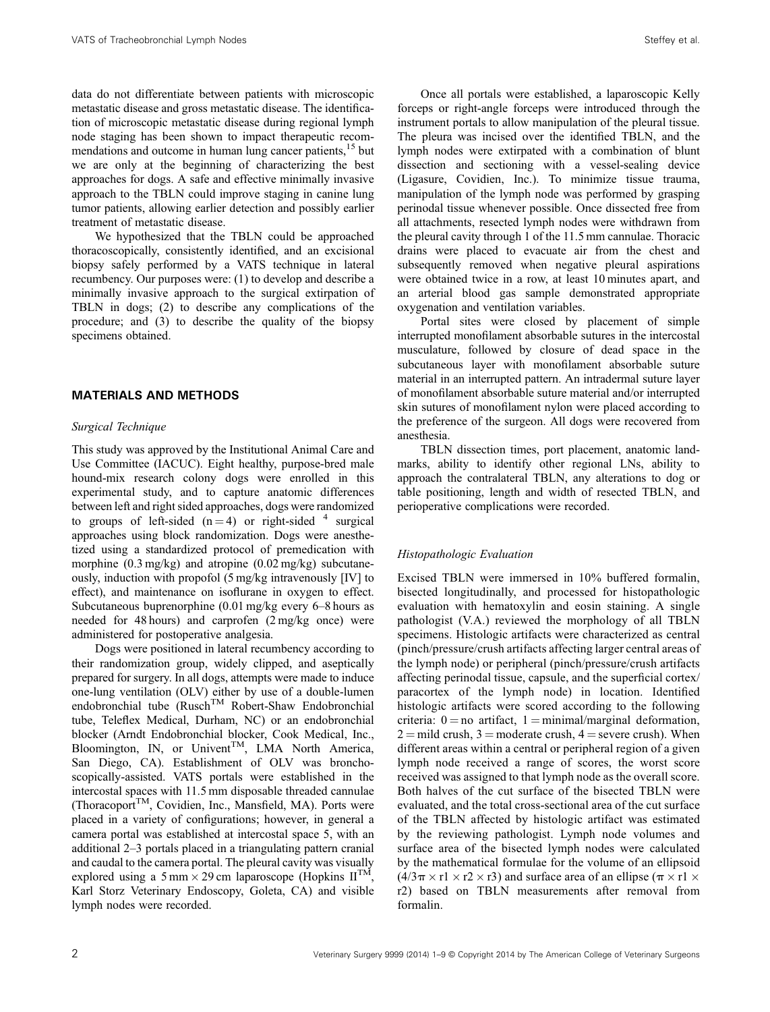data do not differentiate between patients with microscopic metastatic disease and gross metastatic disease. The identification of microscopic metastatic disease during regional lymph node staging has been shown to impact therapeutic recommendations and outcome in human lung cancer patients,<sup>15</sup> but we are only at the beginning of characterizing the best approaches for dogs. A safe and effective minimally invasive approach to the TBLN could improve staging in canine lung tumor patients, allowing earlier detection and possibly earlier treatment of metastatic disease.

We hypothesized that the TBLN could be approached thoracoscopically, consistently identified, and an excisional biopsy safely performed by a VATS technique in lateral recumbency. Our purposes were: (1) to develop and describe a minimally invasive approach to the surgical extirpation of TBLN in dogs; (2) to describe any complications of the procedure; and (3) to describe the quality of the biopsy specimens obtained.

## MATERIALS AND METHODS

### Surgical Technique

This study was approved by the Institutional Animal Care and Use Committee (IACUC). Eight healthy, purpose‐bred male hound‐mix research colony dogs were enrolled in this experimental study, and to capture anatomic differences between left and right sided approaches, dogs were randomized to groups of left-sided  $(n=4)$  or right-sided <sup>4</sup> surgical approaches using block randomization. Dogs were anesthetized using a standardized protocol of premedication with morphine (0.3 mg/kg) and atropine (0.02 mg/kg) subcutaneously, induction with propofol (5 mg/kg intravenously [IV] to effect), and maintenance on isoflurane in oxygen to effect. Subcutaneous buprenorphine (0.01 mg/kg every 6–8 hours as needed for 48 hours) and carprofen (2 mg/kg once) were administered for postoperative analgesia.

Dogs were positioned in lateral recumbency according to their randomization group, widely clipped, and aseptically prepared for surgery. In all dogs, attempts were made to induce one‐lung ventilation (OLV) either by use of a double‐lumen endobronchial tube (Rusch™ Robert-Shaw Endobronchial tube, Teleflex Medical, Durham, NC) or an endobronchial blocker (Arndt Endobronchial blocker, Cook Medical, Inc., Bloomington, IN, or Univent<sup>TM</sup>, LMA North America, San Diego, CA). Establishment of OLV was bronchoscopically‐assisted. VATS portals were established in the intercostal spaces with 11.5 mm disposable threaded cannulae (ThoracoportTM, Covidien, Inc., Mansfield, MA). Ports were placed in a variety of configurations; however, in general a camera portal was established at intercostal space 5, with an additional 2–3 portals placed in a triangulating pattern cranial and caudal to the camera portal. The pleural cavity was visually explored using a 5 mm  $\times$  29 cm laparoscope (Hopkins II<sup>TM</sup>, Karl Storz Veterinary Endoscopy, Goleta, CA) and visible lymph nodes were recorded.

Once all portals were established, a laparoscopic Kelly forceps or right‐angle forceps were introduced through the instrument portals to allow manipulation of the pleural tissue. The pleura was incised over the identified TBLN, and the lymph nodes were extirpated with a combination of blunt dissection and sectioning with a vessel‐sealing device (Ligasure, Covidien, Inc.). To minimize tissue trauma, manipulation of the lymph node was performed by grasping perinodal tissue whenever possible. Once dissected free from all attachments, resected lymph nodes were withdrawn from the pleural cavity through 1 of the 11.5 mm cannulae. Thoracic drains were placed to evacuate air from the chest and subsequently removed when negative pleural aspirations were obtained twice in a row, at least 10 minutes apart, and an arterial blood gas sample demonstrated appropriate oxygenation and ventilation variables.

Portal sites were closed by placement of simple interrupted monofilament absorbable sutures in the intercostal musculature, followed by closure of dead space in the subcutaneous layer with monofilament absorbable suture material in an interrupted pattern. An intradermal suture layer of monofilament absorbable suture material and/or interrupted skin sutures of monofilament nylon were placed according to the preference of the surgeon. All dogs were recovered from anesthesia.

TBLN dissection times, port placement, anatomic landmarks, ability to identify other regional LNs, ability to approach the contralateral TBLN, any alterations to dog or table positioning, length and width of resected TBLN, and perioperative complications were recorded.

## Histopathologic Evaluation

Excised TBLN were immersed in 10% buffered formalin, bisected longitudinally, and processed for histopathologic evaluation with hematoxylin and eosin staining. A single pathologist (V.A.) reviewed the morphology of all TBLN specimens. Histologic artifacts were characterized as central (pinch/pressure/crush artifacts affecting larger central areas of the lymph node) or peripheral (pinch/pressure/crush artifacts affecting perinodal tissue, capsule, and the superficial cortex/ paracortex of the lymph node) in location. Identified histologic artifacts were scored according to the following criteria:  $0 = no$  artifact,  $1 = minimal/marginal$  deformation,  $2 =$  mild crush,  $3 =$  moderate crush,  $4 =$  severe crush). When different areas within a central or peripheral region of a given lymph node received a range of scores, the worst score received was assigned to that lymph node as the overall score. Both halves of the cut surface of the bisected TBLN were evaluated, and the total cross‐sectional area of the cut surface of the TBLN affected by histologic artifact was estimated by the reviewing pathologist. Lymph node volumes and surface area of the bisected lymph nodes were calculated by the mathematical formulae for the volume of an ellipsoid  $(4/3\pi \times r1 \times r2 \times r3)$  and surface area of an ellipse  $(\pi \times r1 \times$ r2) based on TBLN measurements after removal from formalin.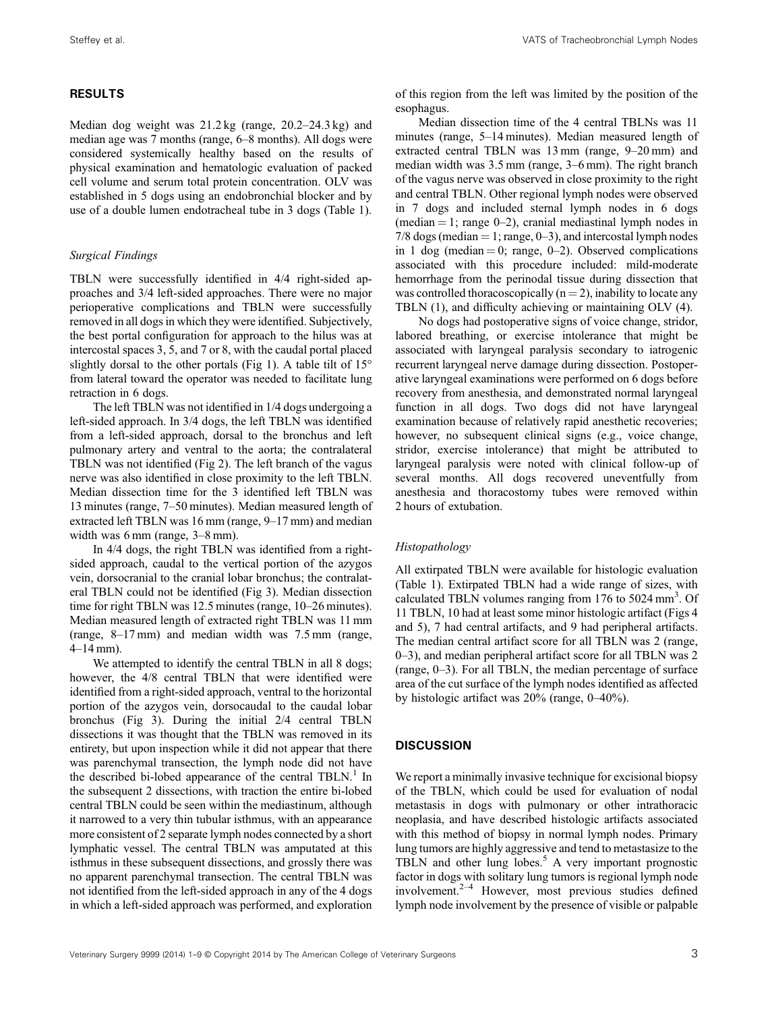## RESULTS

Median dog weight was 21.2 kg (range, 20.2–24.3 kg) and median age was 7 months (range, 6–8 months). All dogs were considered systemically healthy based on the results of physical examination and hematologic evaluation of packed cell volume and serum total protein concentration. OLV was established in 5 dogs using an endobronchial blocker and by use of a double lumen endotracheal tube in 3 dogs (Table 1).

### Surgical Findings

TBLN were successfully identified in 4/4 right‐sided approaches and 3/4 left‐sided approaches. There were no major perioperative complications and TBLN were successfully removed in all dogs in which they were identified. Subjectively, the best portal configuration for approach to the hilus was at intercostal spaces 3, 5, and 7 or 8, with the caudal portal placed slightly dorsal to the other portals (Fig 1). A table tilt of  $15^{\circ}$ from lateral toward the operator was needed to facilitate lung retraction in 6 dogs.

The left TBLN was not identified in 1/4 dogs undergoing a left-sided approach. In 3/4 dogs, the left TBLN was identified from a left-sided approach, dorsal to the bronchus and left pulmonary artery and ventral to the aorta; the contralateral TBLN was not identified (Fig 2). The left branch of the vagus nerve was also identified in close proximity to the left TBLN. Median dissection time for the 3 identified left TBLN was 13 minutes (range, 7–50 minutes). Median measured length of extracted left TBLN was 16 mm (range, 9–17 mm) and median width was 6 mm (range, 3–8 mm).

In 4/4 dogs, the right TBLN was identified from a rightsided approach, caudal to the vertical portion of the azygos vein, dorsocranial to the cranial lobar bronchus; the contralateral TBLN could not be identified (Fig 3). Median dissection time for right TBLN was 12.5 minutes (range, 10–26 minutes). Median measured length of extracted right TBLN was 11 mm (range, 8–17 mm) and median width was 7.5 mm (range, 4–14 mm).

We attempted to identify the central TBLN in all 8 dogs; however, the 4/8 central TBLN that were identified were identified from a right‐sided approach, ventral to the horizontal portion of the azygos vein, dorsocaudal to the caudal lobar bronchus (Fig 3). During the initial 2/4 central TBLN dissections it was thought that the TBLN was removed in its entirety, but upon inspection while it did not appear that there was parenchymal transection, the lymph node did not have the described bi-lobed appearance of the central TBLN.<sup>1</sup> In the subsequent 2 dissections, with traction the entire bi‐lobed central TBLN could be seen within the mediastinum, although it narrowed to a very thin tubular isthmus, with an appearance more consistent of 2 separate lymph nodes connected by a short lymphatic vessel. The central TBLN was amputated at this isthmus in these subsequent dissections, and grossly there was no apparent parenchymal transection. The central TBLN was not identified from the left‐sided approach in any of the 4 dogs in which a left‐sided approach was performed, and exploration

of this region from the left was limited by the position of the esophagus.

Median dissection time of the 4 central TBLNs was 11 minutes (range, 5–14 minutes). Median measured length of extracted central TBLN was 13 mm (range, 9–20 mm) and median width was 3.5 mm (range, 3–6 mm). The right branch of the vagus nerve was observed in close proximity to the right and central TBLN. Other regional lymph nodes were observed in 7 dogs and included sternal lymph nodes in 6 dogs (median  $= 1$ ; range 0–2), cranial mediastinal lymph nodes in  $7/8$  dogs (median = 1; range, 0–3), and intercostal lymph nodes in 1 dog (median  $= 0$ ; range, 0–2). Observed complications associated with this procedure included: mild‐moderate hemorrhage from the perinodal tissue during dissection that was controlled thoracoscopically  $(n = 2)$ , inability to locate any TBLN (1), and difficulty achieving or maintaining OLV (4).

No dogs had postoperative signs of voice change, stridor, labored breathing, or exercise intolerance that might be associated with laryngeal paralysis secondary to iatrogenic recurrent laryngeal nerve damage during dissection. Postoperative laryngeal examinations were performed on 6 dogs before recovery from anesthesia, and demonstrated normal laryngeal function in all dogs. Two dogs did not have laryngeal examination because of relatively rapid anesthetic recoveries; however, no subsequent clinical signs (e.g., voice change, stridor, exercise intolerance) that might be attributed to laryngeal paralysis were noted with clinical follow‐up of several months. All dogs recovered uneventfully from anesthesia and thoracostomy tubes were removed within 2 hours of extubation.

## Histopathology

All extirpated TBLN were available for histologic evaluation (Table 1). Extirpated TBLN had a wide range of sizes, with calculated TBLN volumes ranging from 176 to 5024 mm<sup>3</sup>. Of 11 TBLN, 10 had at least some minor histologic artifact (Figs 4 and 5), 7 had central artifacts, and 9 had peripheral artifacts. The median central artifact score for all TBLN was 2 (range, 0–3), and median peripheral artifact score for all TBLN was 2 (range, 0–3). For all TBLN, the median percentage of surface area of the cut surface of the lymph nodes identified as affected by histologic artifact was 20% (range, 0–40%).

## **DISCUSSION**

We report a minimally invasive technique for excisional biopsy of the TBLN, which could be used for evaluation of nodal metastasis in dogs with pulmonary or other intrathoracic neoplasia, and have described histologic artifacts associated with this method of biopsy in normal lymph nodes. Primary lung tumors are highly aggressive and tend to metastasize to the TBLN and other lung lobes.<sup>5</sup> A very important prognostic factor in dogs with solitary lung tumors is regional lymph node involvement. $2-4$  However, most previous studies defined lymph node involvement by the presence of visible or palpable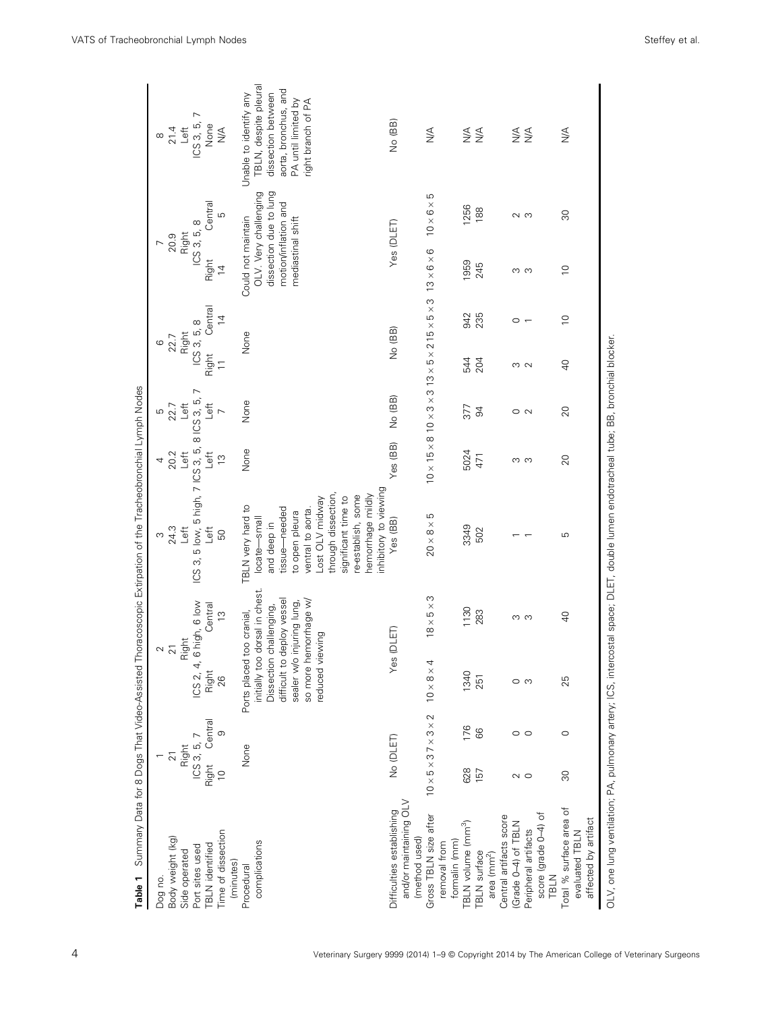| ICS 3, 5, 7<br>Right Central<br>None<br>Right<br>$\overline{2}1$<br>Right<br>$\overline{0}$<br>Time of dissection<br>Body weight (kg)<br>complications<br><b>TBLN</b> identified<br>Port sites used<br>Side operated<br>(minutes)<br>Procedural<br>Dog no. |                 |                                                              |                               | ω                                                                                     | 4              | Б                             | ဖ                                                                        |                                                                         |                          | $\infty$                                                            |
|------------------------------------------------------------------------------------------------------------------------------------------------------------------------------------------------------------------------------------------------------------|-----------------|--------------------------------------------------------------|-------------------------------|---------------------------------------------------------------------------------------|----------------|-------------------------------|--------------------------------------------------------------------------|-------------------------------------------------------------------------|--------------------------|---------------------------------------------------------------------|
|                                                                                                                                                                                                                                                            |                 | $\approx$ $\frac{1}{2}$                                      |                               | 24.3                                                                                  | 20.2           | 22.7                          | 22.7                                                                     | 20.9                                                                    |                          | 21.4                                                                |
|                                                                                                                                                                                                                                                            |                 | Right                                                        |                               | Left                                                                                  | Let            | Let                           | Right                                                                    | Right                                                                   |                          | Left                                                                |
|                                                                                                                                                                                                                                                            |                 | ICS 2, 4,                                                    | 6 high, 6 low                 | ICS 3, 5 low, 5 high, 7 ICS 3, 5,                                                     |                | $\overline{ }$<br>8 ICS 3, 5, | ICS 3, 5, 8                                                              | $\infty$<br>ICS 3, 5,                                                   |                          | $\overline{ }$<br>ICS 3, 5,                                         |
|                                                                                                                                                                                                                                                            |                 | Right                                                        | Central                       | Left                                                                                  | $\overline{=}$ | $\overline{=}$                | Central<br>Right                                                         | Right                                                                   | Central                  | None                                                                |
|                                                                                                                                                                                                                                                            | $\circ$         | 26                                                           | $\frac{1}{2}$                 | 50                                                                                    | $\frac{1}{2}$  | $\overline{ }$                | $\frac{4}{3}$<br>$\overline{1}$                                          | $\overline{4}$                                                          | Б                        | $\frac{1}{2}$                                                       |
|                                                                                                                                                                                                                                                            |                 | Ports placed                                                 | too cranial,                  | TBLN very hard to                                                                     | None           | None                          | None                                                                     | Could not maintain                                                      |                          | Unable to identify any                                              |
|                                                                                                                                                                                                                                                            |                 | initially too dorsal in chest.<br>Dissection<br>difficult to | deploy vessel<br>challenging, | tissue-needed<br>locate-small<br>and deep in                                          |                |                               |                                                                          | dissection due to lung<br>OLV. Very challenging<br>motion/inflation and |                          | TBLN, despite pleural<br>aorta, bronchus, and<br>dissection between |
|                                                                                                                                                                                                                                                            |                 | so more hemorrhage w/<br>iewing<br>sealer w/o<br>reduced vi  | injuring lung,                | through dissection,<br>Lost OLV midway<br>ventral to aorta.<br>to open pleura         |                |                               |                                                                          | mediastinal shift                                                       |                          | PA until limited by<br>right branch of PA                           |
|                                                                                                                                                                                                                                                            |                 |                                                              |                               | nhibitory to viewing<br>hemorrhage mildly<br>e-establish, some<br>significant time to |                |                               |                                                                          |                                                                         |                          |                                                                     |
| No (DLET)<br>and/or maintaining OLV<br>Difficulties establishing                                                                                                                                                                                           |                 | Yes                                                          | (DLET)                        | Yes (BB)                                                                              | Yes (BB)       | No (BB)                       | No (BB)                                                                  | Yes (DLET)                                                              |                          | No (BB)                                                             |
| (method used)                                                                                                                                                                                                                                              |                 |                                                              |                               |                                                                                       |                |                               |                                                                          |                                                                         |                          |                                                                     |
| $10 \times 5 \times 37 \times 3 \times 2$<br>Gross TBLN size after<br>removal from                                                                                                                                                                         |                 | $10 \times 8 \times 4$                                       | $18 \times 5 \times 3$        | LO<br>$20 \times 8 \times$                                                            |                |                               | $10\times15\times8\ 10\times3\times3\ 13\times5\times2\ 15\times5\times$ | $13 \times 6 \times 6$<br>S                                             | LO<br>$10\times 6\times$ | $\frac{4}{2}$                                                       |
| formalin (mm)                                                                                                                                                                                                                                              |                 |                                                              |                               |                                                                                       |                |                               |                                                                          |                                                                         |                          |                                                                     |
| 628<br>157<br>TBLN volume (mm <sup>3</sup> )<br><b>TBLN</b> surface                                                                                                                                                                                        | 176<br>66       | 1340<br>251                                                  | 1130<br>283                   | 3349<br>502                                                                           | 5024<br>471    | 377<br>94                     | 235<br>942<br>204<br>4                                                   | 1959<br>245                                                             | 1256<br>188              | §<br>≦≦                                                             |
| Central artifacts score<br>area $\text{ (mm}^2)$                                                                                                                                                                                                           |                 |                                                              |                               |                                                                                       |                |                               |                                                                          |                                                                         |                          |                                                                     |
| (Grade 0-4) of TBLN                                                                                                                                                                                                                                        |                 |                                                              |                               |                                                                                       |                |                               |                                                                          |                                                                         |                          |                                                                     |
| $\sim$ 0<br>Peripheral artifacts                                                                                                                                                                                                                           | $\circ$ $\circ$ |                                                              | ო ო                           |                                                                                       | ო ო            | $\circ$ $\sim$                | $\circ$ $\sim$<br>w w                                                    | ო ო                                                                     | ഗ ഗ                      | ≶<br>≦≦                                                             |
| score (grade 0-4) of<br>TBLN                                                                                                                                                                                                                               |                 |                                                              |                               |                                                                                       |                |                               |                                                                          |                                                                         |                          |                                                                     |
| $\overline{30}$<br>Total % surface area of<br>affected by artifact<br>evaluated TBLN                                                                                                                                                                       | $\circ$         | 25                                                           | $\overline{a}$                | Б                                                                                     | 20             | 20                            | $\overline{0}$<br>$\overline{0}$                                         | $\overline{0}$                                                          | 80                       | ₹                                                                   |

4 Veterinary Surgery 9999 (2014) 1–9 © Copyright 2014 by The American College of Veterinary Surgeons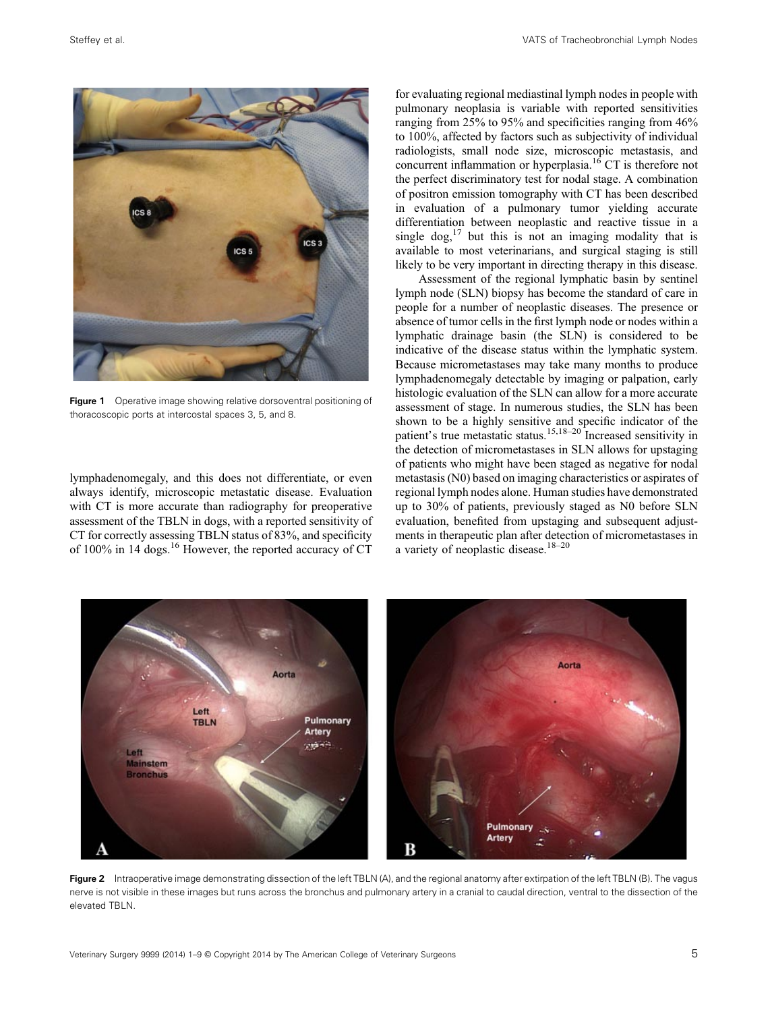

Figure 1 Operative image showing relative dorsoventral positioning of thoracoscopic ports at intercostal spaces 3, 5, and 8.

lymphadenomegaly, and this does not differentiate, or even always identify, microscopic metastatic disease. Evaluation with CT is more accurate than radiography for preoperative assessment of the TBLN in dogs, with a reported sensitivity of CT for correctly assessing TBLN status of 83%, and specificity of 100% in 14 dogs.<sup>16</sup> However, the reported accuracy of CT

for evaluating regional mediastinal lymph nodes in people with pulmonary neoplasia is variable with reported sensitivities ranging from 25% to 95% and specificities ranging from 46% to 100%, affected by factors such as subjectivity of individual radiologists, small node size, microscopic metastasis, and concurrent inflammation or hyperplasia.<sup>16</sup> CT is therefore not the perfect discriminatory test for nodal stage. A combination of positron emission tomography with CT has been described in evaluation of a pulmonary tumor yielding accurate differentiation between neoplastic and reactive tissue in a single  $\log_1^{17}$  but this is not an imaging modality that is available to most veterinarians, and surgical staging is still likely to be very important in directing therapy in this disease.

Assessment of the regional lymphatic basin by sentinel lymph node (SLN) biopsy has become the standard of care in people for a number of neoplastic diseases. The presence or absence of tumor cells in the first lymph node or nodes within a lymphatic drainage basin (the SLN) is considered to be indicative of the disease status within the lymphatic system. Because micrometastases may take many months to produce lymphadenomegaly detectable by imaging or palpation, early histologic evaluation of the SLN can allow for a more accurate assessment of stage. In numerous studies, the SLN has been shown to be a highly sensitive and specific indicator of the patient's true metastatic status.<sup>15,18–20</sup> Increased sensitivity in the detection of micrometastases in SLN allows for upstaging of patients who might have been staged as negative for nodal metastasis (N0) based on imaging characteristics or aspirates of regional lymph nodes alone. Human studies have demonstrated up to 30% of patients, previously staged as N0 before SLN evaluation, benefited from upstaging and subsequent adjustments in therapeutic plan after detection of micrometastases in a variety of neoplastic disease.<sup>18-20</sup>



Figure 2 Intraoperative image demonstrating dissection of the left TBLN (A), and the regional anatomy after extirpation of the left TBLN (B). The vagus nerve is not visible in these images but runs across the bronchus and pulmonary artery in a cranial to caudal direction, ventral to the dissection of the elevated TBLN.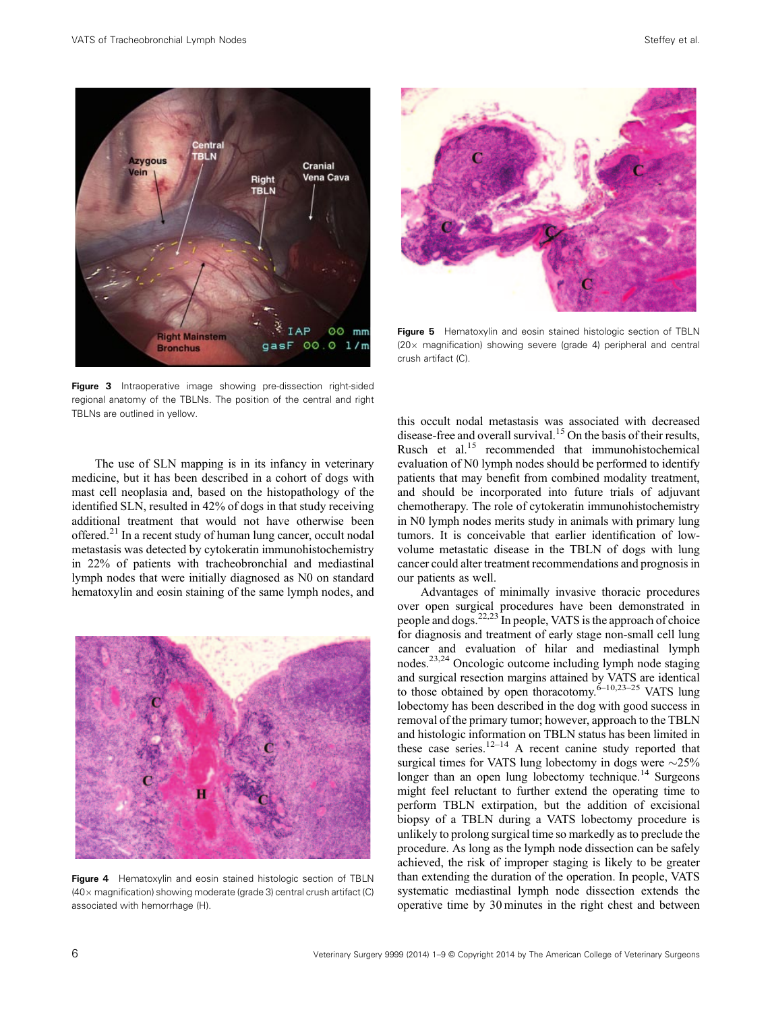

Figure 3 Intraoperative image showing pre-dissection right-sided regional anatomy of the TBLNs. The position of the central and right TBLNs are outlined in yellow.

The use of SLN mapping is in its infancy in veterinary medicine, but it has been described in a cohort of dogs with mast cell neoplasia and, based on the histopathology of the identified SLN, resulted in 42% of dogs in that study receiving additional treatment that would not have otherwise been offered.<sup>21</sup> In a recent study of human lung cancer, occult nodal metastasis was detected by cytokeratin immunohistochemistry in 22% of patients with tracheobronchial and mediastinal lymph nodes that were initially diagnosed as N0 on standard hematoxylin and eosin staining of the same lymph nodes, and



Figure 4 Hematoxylin and eosin stained histologic section of TBLN  $(40\times$  magnification) showing moderate (grade 3) central crush artifact (C) associated with hemorrhage (H).



Figure 5 Hematoxylin and eosin stained histologic section of TBLN  $(20 \times$  magnification) showing severe (grade 4) peripheral and central crush artifact (C).

this occult nodal metastasis was associated with decreased disease-free and overall survival.<sup>15</sup> On the basis of their results, Rusch et al.<sup>15</sup> recommended that immunohistochemical evaluation of N0 lymph nodes should be performed to identify patients that may benefit from combined modality treatment, and should be incorporated into future trials of adjuvant chemotherapy. The role of cytokeratin immunohistochemistry in N0 lymph nodes merits study in animals with primary lung tumors. It is conceivable that earlier identification of low‐ volume metastatic disease in the TBLN of dogs with lung cancer could alter treatment recommendations and prognosis in our patients as well.

Advantages of minimally invasive thoracic procedures over open surgical procedures have been demonstrated in people and dogs.<sup>22,23</sup> In people, VATS is the approach of choice for diagnosis and treatment of early stage non-small cell lung cancer and evaluation of hilar and mediastinal lymph nodes.23,24 Oncologic outcome including lymph node staging and surgical resection margins attained by VATS are identical to those obtained by open thoracotomy. $6-10,23-25$  VATS lung lobectomy has been described in the dog with good success in removal of the primary tumor; however, approach to the TBLN and histologic information on TBLN status has been limited in these case series.<sup>12–14</sup> A recent canine study reported that surgical times for VATS lung lobectomy in dogs were  $\sim$ 25% longer than an open lung lobectomy technique.<sup>14</sup> Surgeons might feel reluctant to further extend the operating time to perform TBLN extirpation, but the addition of excisional biopsy of a TBLN during a VATS lobectomy procedure is unlikely to prolong surgical time so markedly as to preclude the procedure. As long as the lymph node dissection can be safely achieved, the risk of improper staging is likely to be greater than extending the duration of the operation. In people, VATS systematic mediastinal lymph node dissection extends the operative time by 30 minutes in the right chest and between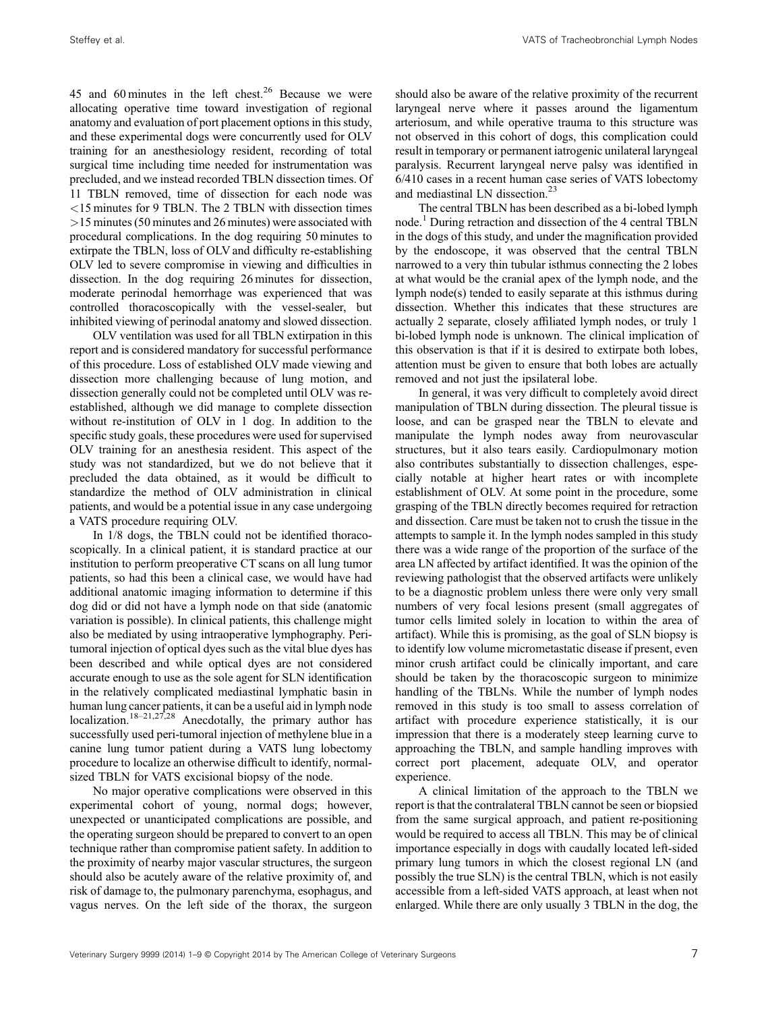45 and 60 minutes in the left chest.<sup>26</sup> Because we were allocating operative time toward investigation of regional anatomy and evaluation of port placement options in this study, and these experimental dogs were concurrently used for OLV training for an anesthesiology resident, recording of total surgical time including time needed for instrumentation was precluded, and we instead recorded TBLN dissection times. Of 11 TBLN removed, time of dissection for each node was <15 minutes for 9 TBLN. The 2 TBLN with dissection times >15 minutes (50 minutes and 26 minutes) were associated with procedural complications. In the dog requiring 50 minutes to extirpate the TBLN, loss of OLV and difficulty re-establishing OLV led to severe compromise in viewing and difficulties in dissection. In the dog requiring 26 minutes for dissection, moderate perinodal hemorrhage was experienced that was controlled thoracoscopically with the vessel‐sealer, but inhibited viewing of perinodal anatomy and slowed dissection.

OLV ventilation was used for all TBLN extirpation in this report and is considered mandatory for successful performance of this procedure. Loss of established OLV made viewing and dissection more challenging because of lung motion, and dissection generally could not be completed until OLV was re‐ established, although we did manage to complete dissection without re-institution of OLV in 1 dog. In addition to the specific study goals, these procedures were used for supervised OLV training for an anesthesia resident. This aspect of the study was not standardized, but we do not believe that it precluded the data obtained, as it would be difficult to standardize the method of OLV administration in clinical patients, and would be a potential issue in any case undergoing a VATS procedure requiring OLV.

In 1/8 dogs, the TBLN could not be identified thoracoscopically. In a clinical patient, it is standard practice at our institution to perform preoperative CT scans on all lung tumor patients, so had this been a clinical case, we would have had additional anatomic imaging information to determine if this dog did or did not have a lymph node on that side (anatomic variation is possible). In clinical patients, this challenge might also be mediated by using intraoperative lymphography. Peri‐ tumoral injection of optical dyes such as the vital blue dyes has been described and while optical dyes are not considered accurate enough to use as the sole agent for SLN identification in the relatively complicated mediastinal lymphatic basin in human lung cancer patients, it can be a useful aid in lymph node localization.<sup>18–21,27,28</sup> Anecdotally, the primary author has successfully used peri‐tumoral injection of methylene blue in a canine lung tumor patient during a VATS lung lobectomy procedure to localize an otherwise difficult to identify, normalsized TBLN for VATS excisional biopsy of the node.

No major operative complications were observed in this experimental cohort of young, normal dogs; however, unexpected or unanticipated complications are possible, and the operating surgeon should be prepared to convert to an open technique rather than compromise patient safety. In addition to the proximity of nearby major vascular structures, the surgeon should also be acutely aware of the relative proximity of, and risk of damage to, the pulmonary parenchyma, esophagus, and vagus nerves. On the left side of the thorax, the surgeon

should also be aware of the relative proximity of the recurrent laryngeal nerve where it passes around the ligamentum arteriosum, and while operative trauma to this structure was not observed in this cohort of dogs, this complication could result in temporary or permanent iatrogenic unilateral laryngeal paralysis. Recurrent laryngeal nerve palsy was identified in 6/410 cases in a recent human case series of VATS lobectomy and mediastinal LN dissection.<sup>23</sup>

The central TBLN has been described as a bi‐lobed lymph node.<sup>1</sup> During retraction and dissection of the 4 central TBLN in the dogs of this study, and under the magnification provided by the endoscope, it was observed that the central TBLN narrowed to a very thin tubular isthmus connecting the 2 lobes at what would be the cranial apex of the lymph node, and the lymph node(s) tended to easily separate at this isthmus during dissection. Whether this indicates that these structures are actually 2 separate, closely affiliated lymph nodes, or truly 1 bi-lobed lymph node is unknown. The clinical implication of this observation is that if it is desired to extirpate both lobes, attention must be given to ensure that both lobes are actually removed and not just the ipsilateral lobe.

In general, it was very difficult to completely avoid direct manipulation of TBLN during dissection. The pleural tissue is loose, and can be grasped near the TBLN to elevate and manipulate the lymph nodes away from neurovascular structures, but it also tears easily. Cardiopulmonary motion also contributes substantially to dissection challenges, especially notable at higher heart rates or with incomplete establishment of OLV. At some point in the procedure, some grasping of the TBLN directly becomes required for retraction and dissection. Care must be taken not to crush the tissue in the attempts to sample it. In the lymph nodes sampled in this study there was a wide range of the proportion of the surface of the area LN affected by artifact identified. It was the opinion of the reviewing pathologist that the observed artifacts were unlikely to be a diagnostic problem unless there were only very small numbers of very focal lesions present (small aggregates of tumor cells limited solely in location to within the area of artifact). While this is promising, as the goal of SLN biopsy is to identify low volume micrometastatic disease if present, even minor crush artifact could be clinically important, and care should be taken by the thoracoscopic surgeon to minimize handling of the TBLNs. While the number of lymph nodes removed in this study is too small to assess correlation of artifact with procedure experience statistically, it is our impression that there is a moderately steep learning curve to approaching the TBLN, and sample handling improves with correct port placement, adequate OLV, and operator experience.

A clinical limitation of the approach to the TBLN we report is that the contralateral TBLN cannot be seen or biopsied from the same surgical approach, and patient re-positioning would be required to access all TBLN. This may be of clinical importance especially in dogs with caudally located left‐sided primary lung tumors in which the closest regional LN (and possibly the true SLN) is the central TBLN, which is not easily accessible from a left‐sided VATS approach, at least when not enlarged. While there are only usually 3 TBLN in the dog, the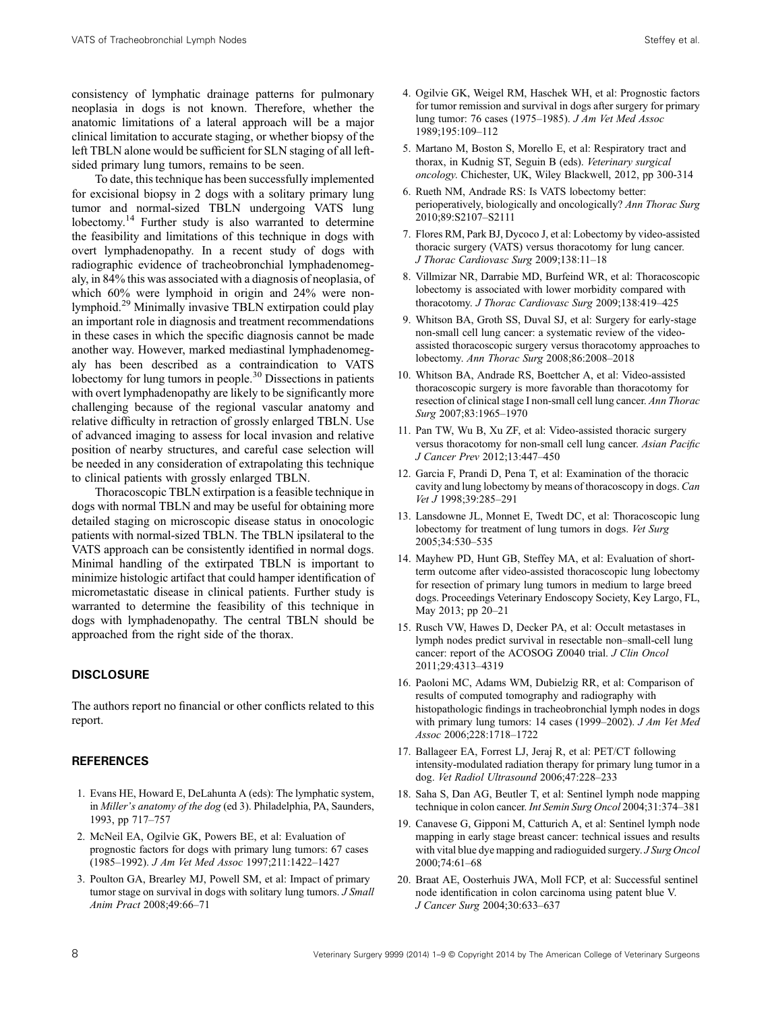consistency of lymphatic drainage patterns for pulmonary neoplasia in dogs is not known. Therefore, whether the anatomic limitations of a lateral approach will be a major clinical limitation to accurate staging, or whether biopsy of the left TBLN alone would be sufficient for SLN staging of all leftsided primary lung tumors, remains to be seen.

To date, this technique has been successfully implemented for excisional biopsy in 2 dogs with a solitary primary lung tumor and normal‐sized TBLN undergoing VATS lung lobectomy.<sup>14</sup> Further study is also warranted to determine the feasibility and limitations of this technique in dogs with overt lymphadenopathy. In a recent study of dogs with radiographic evidence of tracheobronchial lymphadenomegaly, in 84% this was associated with a diagnosis of neoplasia, of which 60% were lymphoid in origin and 24% were nonlymphoid.<sup>29</sup> Minimally invasive TBLN extirpation could play an important role in diagnosis and treatment recommendations in these cases in which the specific diagnosis cannot be made another way. However, marked mediastinal lymphadenomegaly has been described as a contraindication to VATS lobectomy for lung tumors in people.<sup>30</sup> Dissections in patients with overt lymphadenopathy are likely to be significantly more challenging because of the regional vascular anatomy and relative difficulty in retraction of grossly enlarged TBLN. Use of advanced imaging to assess for local invasion and relative position of nearby structures, and careful case selection will be needed in any consideration of extrapolating this technique to clinical patients with grossly enlarged TBLN.

Thoracoscopic TBLN extirpation is a feasible technique in dogs with normal TBLN and may be useful for obtaining more detailed staging on microscopic disease status in onocologic patients with normal‐sized TBLN. The TBLN ipsilateral to the VATS approach can be consistently identified in normal dogs. Minimal handling of the extirpated TBLN is important to minimize histologic artifact that could hamper identification of micrometastatic disease in clinical patients. Further study is warranted to determine the feasibility of this technique in dogs with lymphadenopathy. The central TBLN should be approached from the right side of the thorax.

## **DISCLOSURE**

The authors report no financial or other conflicts related to this report.

### **REFERENCES**

- 1. Evans HE, Howard E, DeLahunta A (eds): The lymphatic system, in Miller's anatomy of the dog (ed 3). Philadelphia, PA, Saunders, 1993, pp 717–757
- 2. McNeil EA, Ogilvie GK, Powers BE, et al: Evaluation of prognostic factors for dogs with primary lung tumors: 67 cases (1985–1992). J Am Vet Med Assoc 1997;211:1422–1427
- 3. Poulton GA, Brearley MJ, Powell SM, et al: Impact of primary tumor stage on survival in dogs with solitary lung tumors. J Small Anim Pract 2008;49:66–71
- 4. Ogilvie GK, Weigel RM, Haschek WH, et al: Prognostic factors for tumor remission and survival in dogs after surgery for primary lung tumor: 76 cases (1975–1985). J Am Vet Med Assoc 1989;195:109–112
- 5. Martano M, Boston S, Morello E, et al: Respiratory tract and thorax, in Kudnig ST, Seguin B (eds). Veterinary surgical oncology. Chichester, UK, Wiley Blackwell, 2012, pp 300‐314
- 6. Rueth NM, Andrade RS: Is VATS lobectomy better: perioperatively, biologically and oncologically? Ann Thorac Surg 2010;89:S2107–S2111
- 7. Flores RM, Park BJ, Dycoco J, et al: Lobectomy by video‐assisted thoracic surgery (VATS) versus thoracotomy for lung cancer. J Thorac Cardiovasc Surg 2009;138:11–18
- 8. Villmizar NR, Darrabie MD, Burfeind WR, et al: Thoracoscopic lobectomy is associated with lower morbidity compared with thoracotomy. J Thorac Cardiovasc Surg 2009;138:419-425
- 9. Whitson BA, Groth SS, Duval SJ, et al: Surgery for early‐stage non-small cell lung cancer: a systematic review of the videoassisted thoracoscopic surgery versus thoracotomy approaches to lobectomy. Ann Thorac Surg 2008;86:2008–2018
- 10. Whitson BA, Andrade RS, Boettcher A, et al: Video‐assisted thoracoscopic surgery is more favorable than thoracotomy for resection of clinical stage I non-small cell lung cancer. Ann Thorac Surg 2007;83:1965–1970
- 11. Pan TW, Wu B, Xu ZF, et al: Video‐assisted thoracic surgery versus thoracotomy for non-small cell lung cancer. Asian Pacific J Cancer Prev 2012;13:447–450
- 12. Garcia F, Prandi D, Pena T, et al: Examination of the thoracic cavity and lung lobectomy by means of thoracoscopy in dogs. Can Vet J 1998;39:285–291
- 13. Lansdowne JL, Monnet E, Twedt DC, et al: Thoracoscopic lung lobectomy for treatment of lung tumors in dogs. Vet Surg 2005;34:530–535
- 14. Mayhew PD, Hunt GB, Steffey MA, et al: Evaluation of short‐ term outcome after video‐assisted thoracoscopic lung lobectomy for resection of primary lung tumors in medium to large breed dogs. Proceedings Veterinary Endoscopy Society, Key Largo, FL, May 2013; pp 20–21
- 15. Rusch VW, Hawes D, Decker PA, et al: Occult metastases in lymph nodes predict survival in resectable non–small‐cell lung cancer: report of the ACOSOG Z0040 trial. J Clin Oncol 2011;29:4313–4319
- 16. Paoloni MC, Adams WM, Dubielzig RR, et al: Comparison of results of computed tomography and radiography with histopathologic findings in tracheobronchial lymph nodes in dogs with primary lung tumors: 14 cases (1999–2002). *J Am Vet Med* Assoc 2006;228:1718–1722
- 17. Ballageer EA, Forrest LJ, Jeraj R, et al: PET/CT following intensity‐modulated radiation therapy for primary lung tumor in a dog. Vet Radiol Ultrasound 2006;47:228–233
- 18. Saha S, Dan AG, Beutler T, et al: Sentinel lymph node mapping technique in colon cancer. Int Semin Surg Oncol 2004;31:374–381
- 19. Canavese G, Gipponi M, Catturich A, et al: Sentinel lymph node mapping in early stage breast cancer: technical issues and results with vital blue dye mapping and radioguided surgery. J Surg Oncol 2000;74:61–68
- 20. Braat AE, Oosterhuis JWA, Moll FCP, et al: Successful sentinel node identification in colon carcinoma using patent blue V. J Cancer Surg 2004;30:633–637